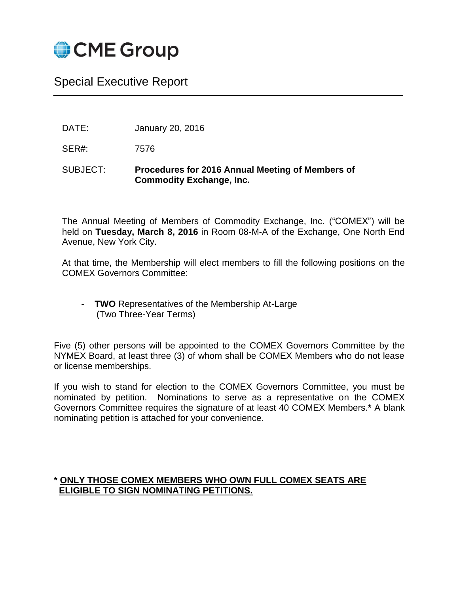

# Special Executive Report

DATE: January 20, 2016

SER#: 7576

#### SUBJECT: **Procedures for 2016 Annual Meeting of Members of Commodity Exchange, Inc.**

The Annual Meeting of Members of Commodity Exchange, Inc. ("COMEX") will be held on **Tuesday, March 8, 2016** in Room 08-M-A of the Exchange, One North End Avenue, New York City.

At that time, the Membership will elect members to fill the following positions on the COMEX Governors Committee:

- **TWO** Representatives of the Membership At-Large (Two Three-Year Terms)

Five (5) other persons will be appointed to the COMEX Governors Committee by the NYMEX Board, at least three (3) of whom shall be COMEX Members who do not lease or license memberships.

If you wish to stand for election to the COMEX Governors Committee, you must be nominated by petition. Nominations to serve as a representative on the COMEX Governors Committee requires the signature of at least 40 COMEX Members.**\*** A blank nominating petition is attached for your convenience.

#### **\* ONLY THOSE COMEX MEMBERS WHO OWN FULL COMEX SEATS ARE ELIGIBLE TO SIGN NOMINATING PETITIONS.**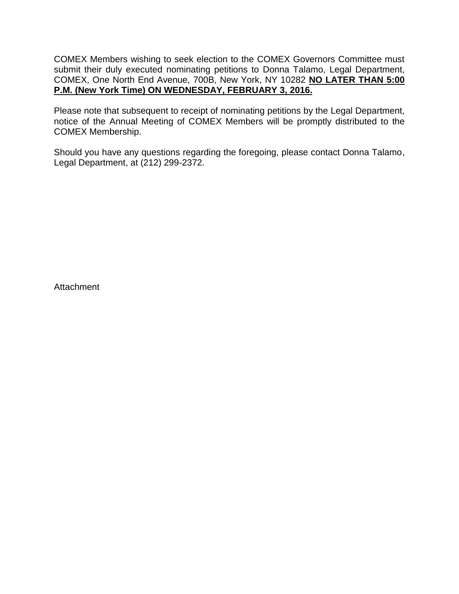COMEX Members wishing to seek election to the COMEX Governors Committee must submit their duly executed nominating petitions to Donna Talamo, Legal Department, COMEX, One North End Avenue, 700B, New York, NY 10282 **NO LATER THAN 5:00 P.M. (New York Time) ON WEDNESDAY, FEBRUARY 3, 2016.**

Please note that subsequent to receipt of nominating petitions by the Legal Department, notice of the Annual Meeting of COMEX Members will be promptly distributed to the COMEX Membership.

Should you have any questions regarding the foregoing, please contact Donna Talamo, Legal Department, at (212) 299-2372.

**Attachment**